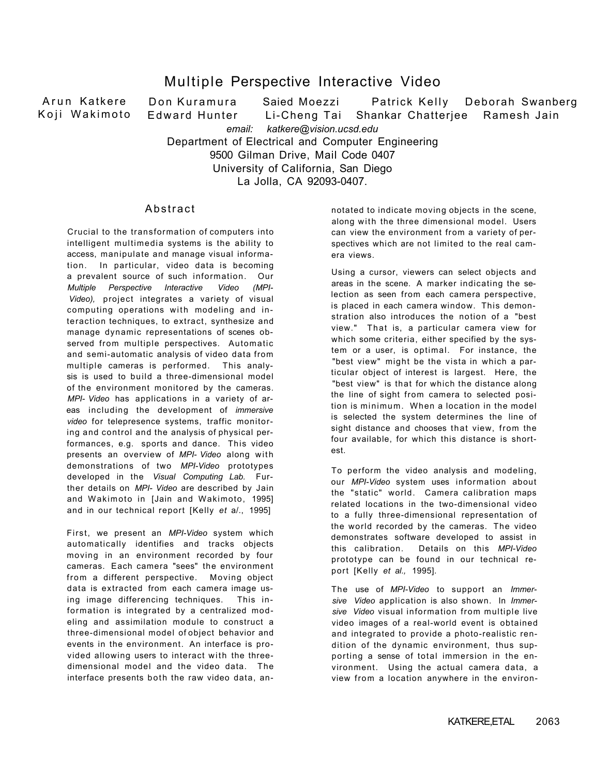## Multiple Perspective Interactive Video

Arun Katkere Koji Wakimoto Don Kuramura Saied Moezzi Patrick Kelly Deborah Swanberg Edward Hunter Li-Cheng Tai Shankar Chatteriee Ramesh Jain *email: katkere@vision.ucsd.edu*  Department of Electrical and Computer Engineering 9500 Gilman Drive, Mail Code 0407 University of California, San Diego

La Jolla, CA 92093-0407.

## **Abstract**

Crucial to the transformation of computers into intelligent multimedia systems is the ability to access, manipulate and manage visual information. In particular, video data is becoming a prevalent source of such information. Our *Multiple Perspective Interactive Video (MPI-Video),* project integrates a variety of visual computing operations with modeling and interaction techniques, to extract, synthesize and manage dynamic representations of scenes observed from multiple perspectives. Automatic and semi-automatic analysis of video data from multiple cameras is performed. This analysis is used to build a three-dimensional model of the environment monitored by the cameras. *MPI- Video* has applications in a variety of areas including the development of *immersive video* for telepresence systems, traffic monitoring and control and the analysis of physical performances, e.g. sports and dance. This video presents an overview of *MPI- Video* along with demonstrations of two *MPI-Video* prototypes developed in the *Visual Computing Lab.* Further details on *MPI- Video* are described by Jain and Wakimoto in [Jain and Wakimoto, 1995] and in our technical report [Kelly *et* a/., 1995]

First, we present an *MPI-Video* system which automatically identifies and tracks objects moving in an environment recorded by four cameras. Each camera "sees" the environment from a different perspective. Moving object data is extracted from each camera image using image differencing techniques. This information is integrated by a centralized modeling and assimilation module to construct a three-dimensional model of object behavior and events in the environment. An interface is provided allowing users to interact with the threedimensional model and the video data. The interface presents both the raw video data, annotated to indicate moving objects in the scene, along with the three dimensional model. Users can view the environment from a variety of perspectives which are not limited to the real camera views.

Using a cursor, viewers can select objects and areas in the scene. A marker indicating the selection as seen from each camera perspective, is placed in each camera window. This demonstration also introduces the notion of a "best view." That is, a particular camera view for which some criteria, either specified by the system or a user, is optimal. For instance, the "best view" might be the vista in which a particular object of interest is largest. Here, the "best view" is that for which the distance along the line of sight from camera to selected position is minimum. When a location in the model is selected the system determines the line of sight distance and chooses that view, from the four available, for which this distance is shortest.

To perform the video analysis and modeling, our *MPI-Video* system uses information about the "static" world. Camera calibration maps related locations in the two-dimensional video to a fully three-dimensional representation of the world recorded by the cameras. The video demonstrates software developed to assist in this calibration. Details on this *MPI-Video*  prototype can be found in our technical report [Kelly *et al.,* 1995].

The use of *MPI-Video* to support an *Immersive Video* application is also shown. In *Immersive Video* visual information from multiple live video images of a real-world event is obtained and integrated to provide a photo-realistic rendition of the dynamic environment, thus supporting a sense of total immersion in the environment. Using the actual camera data, a view from a location anywhere in the environ